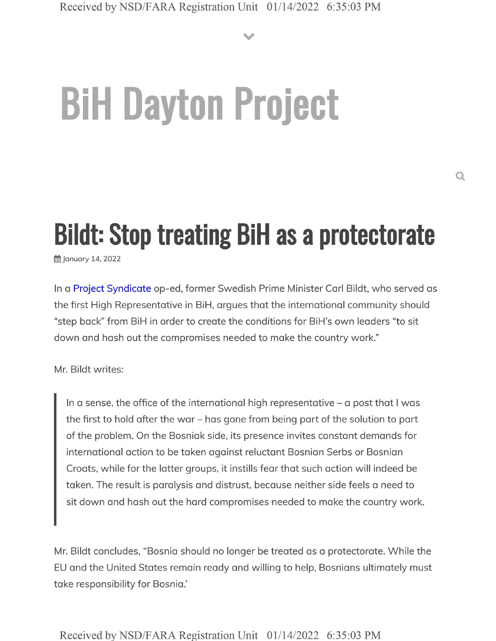**V**

# **BiH Dayton Project**

# **Bildt: Stop treating BiH as a protectorate**

**曲 January 14, 2022** 

In a Project Syndicate op-ed, former Swedish Prime Minister Carl Bildt, who served as the first High Representative in BiH, argues that the international community should "step back" from BiH in order to create the conditions for BiH's own leaders "to sit down and hash out the compromises needed to make the country work."

Mr. Bildt writes:

In a sense, the office of the international high representative  $-$  a post that I was the first to hold after the war - has gone from being part of the solution to part of the problem. On the Bosniak side, its presence invites constant demands for international action to be taken against reluctant Bosnian Serbs or Bosnian Croats, while for the latter groups, it instills fear that such action will indeed be taken. The result is paralysis and distrust, because neither side feels a need to sit down and hash out the hard compromises needed to make the country work.

Mr. Bildt concludes, "Bosnia should no longer be treated as a protectorate. While the EU and the United States remain ready and willing to help, Bosnians ultimately must take responsibility for Bosnia.'

Received by NSD/FARA Registration Unit 01/14/2022 6:35:03 PM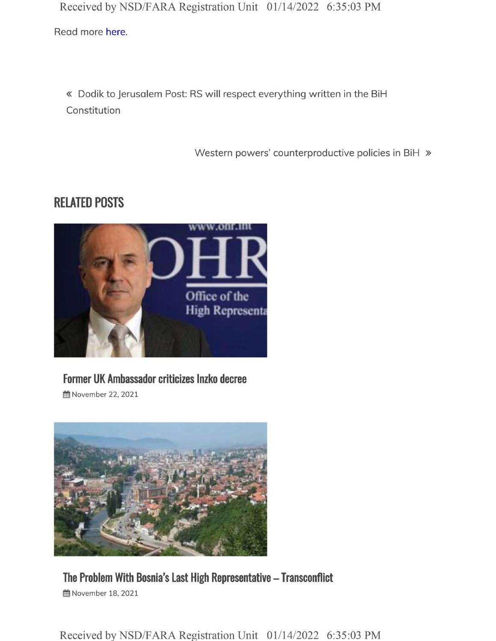Received by NSD/FARA Registration Unit 01/14/2022 6:35:03 PM

Read more here.

« Dodik to Jerusalem Post: RS will respect everything written in the BiH Constitution

Western powers' counterproductive policies in BiH  $\gg$ 

### **RELATED POSTS**



# **Former UK Ambassador criticizes Inzko decree**

**前 November 22, 2021** 



#### **The Problem With Bosnia's Last High Representative - Transconflict 曲 November 18, 2021**

Received by NSD/FARA Registration Unit 01/14/2022 6:35:03 PM